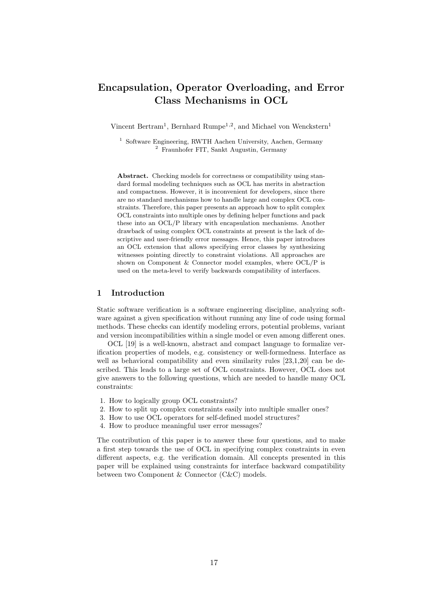# Encapsulation, Operator Overloading, and Error Class Mechanisms in OCL

Vincent Bertram<sup>1</sup>, Bernhard Rumpe<sup>1,2</sup>, and Michael von Wenckstern<sup>1</sup>

<sup>1</sup> Software Engineering, RWTH Aachen University, Aachen, Germany <sup>2</sup> Fraunhofer FIT, Sankt Augustin, Germany

Abstract. Checking models for correctness or compatibility using standard formal modeling techniques such as OCL has merits in abstraction and compactness. However, it is inconvenient for developers, since there are no standard mechanisms how to handle large and complex OCL constraints. Therefore, this paper presents an approach how to split complex OCL constraints into multiple ones by defining helper functions and pack these into an OCL/P library with encapsulation mechanisms. Another drawback of using complex OCL constraints at present is the lack of descriptive and user-friendly error messages. Hence, this paper introduces an OCL extension that allows specifying error classes by synthesizing witnesses pointing directly to constraint violations. All approaches are shown on Component & Connector model examples, where OCL/P is used on the meta-level to verify backwards compatibility of interfaces.

## 1 Introduction

Static software verification is a software engineering discipline, analyzing software against a given specification without running any line of code using formal methods. These checks can identify modeling errors, potential problems, variant and version incompatibilities within a single model or even among different ones.

OCL [19] is a well-known, abstract and compact language to formalize verification properties of models, e.g. consistency or well-formedness. Interface as well as behavioral compatibility and even similarity rules [23,1,20] can be described. This leads to a large set of OCL constraints. However, OCL does not give answers to the following questions, which are needed to handle many OCL constraints:

- 1. How to logically group OCL constraints?
- 2. How to split up complex constraints easily into multiple smaller ones?
- 3. How to use OCL operators for self-defined model structures?
- 4. How to produce meaningful user error messages?

The contribution of this paper is to answer these four questions, and to make a first step towards the use of OCL in specifying complex constraints in even different aspects, e.g. the verification domain. All concepts presented in this paper will be explained using constraints for interface backward compatibility between two Component & Connector (C&C) models.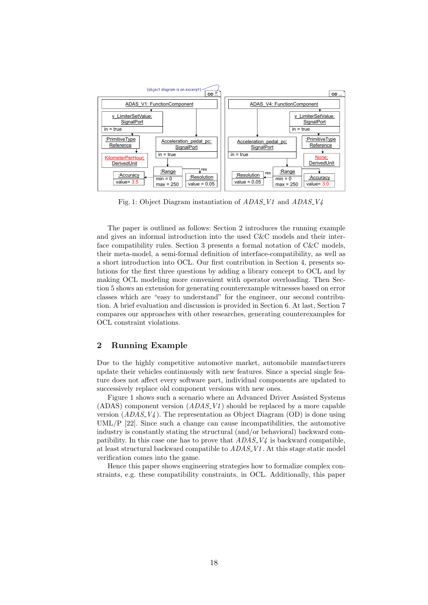

Fig. 1: Object Diagram instantiation of ADAS V1 and ADAS V4

The paper is outlined as follows: Section 2 introduces the running example and gives an informal introduction into the used C&C models and their interface compatibility rules. Section 3 presents a formal notation of C&C models, their meta-model, a semi-formal definition of interface-compatibility, as well as a short introduction into OCL. Our first contribution in Section 4, presents solutions for the first three questions by adding a library concept to OCL and by making OCL modeling more convenient with operator overloading. Then Section 5 shows an extension for generating counterexample witnesses based on error classes which are "easy to understand" for the engineer, our second contribution. A brief evaluation and discussion is provided in Section 6. At last, Section 7 compares our approaches with other researches, generating counterexamples for OCL constraint violations.

# 2 Running Example

Due to the highly competitive automotive market, automobile manufacturers update their vehicles continuously with new features. Since a special single feature does not affect every software part, individual components are updated to successively replace old component versions with new ones.

Figure 1 shows such a scenario where an Advanced Driver Assisted Systems (ADAS) component version  $(ADAS_V1)$  should be replaced by a more capable version  $(ADAS_V4)$ . The representation as Object Diagram (OD) is done using UML/P  $[22]$ . Since such a change can cause incompatibilities, the automotive industry is constantly stating the structural (and/or behavioral) backward compatibility. In this case one has to prove that  $ADAS_V\psi$  is backward compatible, at least structural backward compatible to  $ADAS<sub>1</sub>VI$ . At this stage static model verification comes into the game.

Hence this paper shows engineering strategies how to formalize complex constraints, e.g. these compatibility constraints, in OCL. Additionally, this paper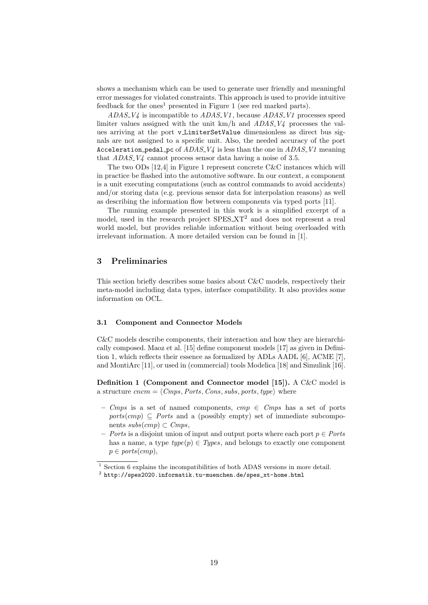shows a mechanism which can be used to generate user friendly and meaningful error messages for violated constraints. This approach is used to provide intuitive feedback for the ones<sup>1</sup> presented in Figure 1 (see red marked parts).

 $ADAS_V\psi$  is incompatible to  $ADAS_V\psi$ , because  $ADAS_V\psi$  processes speed limiter values assigned with the unit  $km/h$  and  $ADAS_V4$  processes the values arriving at the port v<sub>-Limiter</sub>SetValue dimensionless as direct bus signals are not assigned to a specific unit. Also, the needed accuracy of the port Acceleration pedal pc of  $ADAS_V4$  is less than the one in  $ADAS_V1$  meaning that  $ADAS_V4$  cannot process sensor data having a noise of 3.5.

The two ODs [12,4] in Figure 1 represent concrete C&C instances which will in practice be flashed into the automotive software. In our context, a component is a unit executing computations (such as control commands to avoid accidents) and/or storing data (e.g. previous sensor data for interpolation reasons) as well as describing the information flow between components via typed ports [11].

The running example presented in this work is a simplified excerpt of a model, used in the research project SPES\_XT<sup>2</sup> and does not represent a real world model, but provides reliable information without being overloaded with irrelevant information. A more detailed version can be found in [1].

## 3 Preliminaries

This section briefly describes some basics about C&C models, respectively their meta-model including data types, interface compatibility. It also provides some information on OCL.

#### 3.1 Component and Connector Models

C&C models describe components, their interaction and how they are hierarchically composed. Maoz et al. [15] define component models [17] as given in Definition 1, which reflects their essence as formalized by ADLs AADL [6], ACME [7], and MontiArc [11], or used in (commercial) tools Modelica [18] and Simulink [16].

Definition 1 (Component and Connector model [15]). A C&C model is a structure  $cncm = \langle Cmps, Ports, Cons, subs, ports, type \rangle$  where

- Cmps is a set of named components,  $cmp \in Cmps$  has a set of ports  $ports(cmp) \subseteq$  Ports and a (possibly empty) set of immediate subcomponents  $subs(cmp) \subset Cmps$ ,
- Ports is a disjoint union of input and output ports where each port  $p \in$  Ports has a name, a type  $type(p) \in Types$ , and belongs to exactly one component  $p \in ports(cmp),$

 $^{\rm 1}$  Section 6 explains the incompatibilities of both ADAS versions in more detail.

 $^2$  http://spes2020.informatik.tu-muenchen.de/spes\_xt-home.html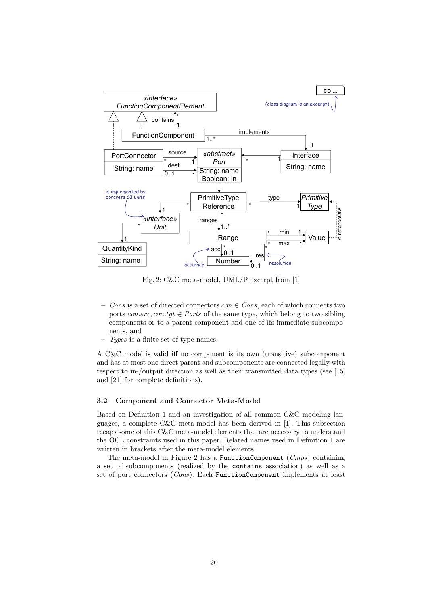

Fig. 2: C&C meta-model, UML/P excerpt from [1]

- Cons is a set of directed connectors  $con \in Cons$ , each of which connects two ports  $con.src, con.tgt \in$  Ports of the same type, which belong to two sibling components or to a parent component and one of its immediate subcomponents, and
- Types is a finite set of type names.

A C&C model is valid iff no component is its own (transitive) subcomponent and has at most one direct parent and subcomponents are connected legally with respect to in-/output direction as well as their transmitted data types (see [15] and [21] for complete definitions).

#### 3.2 Component and Connector Meta-Model

Based on Definition 1 and an investigation of all common C&C modeling languages, a complete C&C meta-model has been derived in [1]. This subsection recaps some of this C&C meta-model elements that are necessary to understand the OCL constraints used in this paper. Related names used in Definition 1 are written in brackets after the meta-model elements.

The meta-model in Figure 2 has a FunctionComponent (Cmps) containing a set of subcomponents (realized by the contains association) as well as a set of port connectors (Cons). Each FunctionComponent implements at least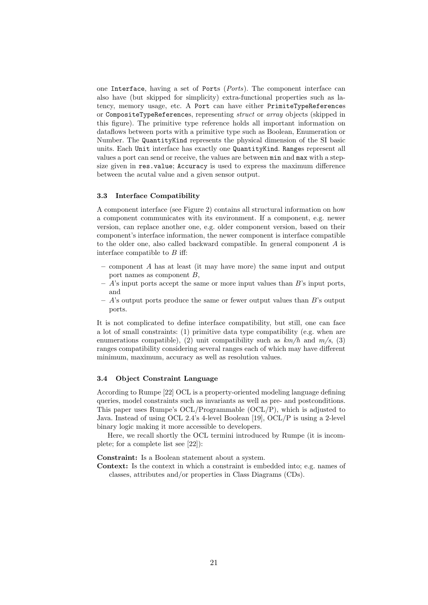one Interface, having a set of Ports (Ports). The component interface can also have (but skipped for simplicity) extra-functional properties such as latency, memory usage, etc. A Port can have either PrimiteTypeReferences or CompositeTypeReferences, representing struct or array objects (skipped in this figure). The primitive type reference holds all important information on dataflows between ports with a primitive type such as Boolean, Enumeration or Number. The QuantityKind represents the physical dimension of the SI basic units. Each Unit interface has exactly one QuantityKind. Ranges represent all values a port can send or receive, the values are between min and max with a stepsize given in res.value; Accuracy is used to express the maximum difference between the acutal value and a given sensor output.

#### 3.3 Interface Compatibility

A component interface (see Figure 2) contains all structural information on how a component communicates with its environment. If a component, e.g. newer version, can replace another one, e.g. older component version, based on their component's interface information, the newer component is interface compatible to the older one, also called backward compatible. In general component A is interface compatible to  $B$  iff:

- component A has at least (it may have more) the same input and output port names as component B,
- $-$  A's input ports accept the same or more input values than B's input ports, and
- $-$  A's output ports produce the same or fewer output values than B's output ports.

It is not complicated to define interface compatibility, but still, one can face a lot of small constraints: (1) primitive data type compatibility (e.g. when are enumerations compatible), (2) unit compatibility such as  $km/h$  and  $m/s$ , (3) ranges compatibility considering several ranges each of which may have different minimum, maximum, accuracy as well as resolution values.

#### 3.4 Object Constraint Language

According to Rumpe [22] OCL is a property-oriented modeling language defining queries, model constraints such as invariants as well as pre- and postconditions. This paper uses Rumpe's OCL/Programmable (OCL/P), which is adjusted to Java. Instead of using OCL 2.4's 4-level Boolean [19], OCL/P is using a 2-level binary logic making it more accessible to developers.

Here, we recall shortly the OCL termini introduced by Rumpe (it is incomplete; for a complete list see [22]):

Constraint: Is a Boolean statement about a system.

Context: Is the context in which a constraint is embedded into; e.g. names of classes, attributes and/or properties in Class Diagrams (CDs).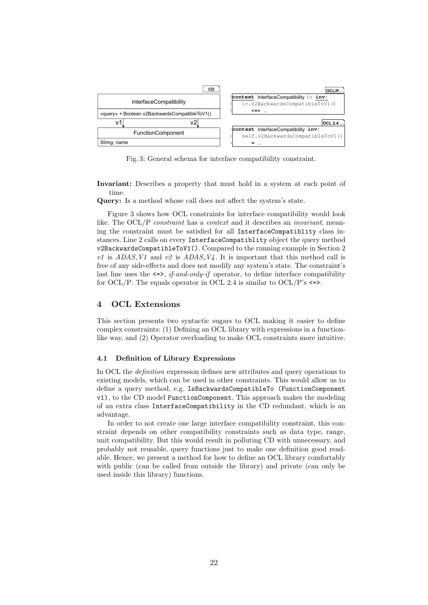

Fig. 3: General schema for interface compatibility constraint.

Invariant: Describes a property that must hold in a system at each point of time.

Query: Is a method whose call does not affect the system's state.

Figure 3 shows how OCL constraints for interface compatibility would look like. The OCL/P *constraint* has a *context* and it describes an *invariant*, meaning the constraint must be satisfied for all InterfaceCompatiblity class instances. Line 2 calls on every InterfaceCompatiblity object the query method v2BackwardsCompatibleToV1(). Compared to the running example in Section 2 v1 is  $ADAS_V1$  and v2 is  $ADAS_V4$ . It is important that this method call is free of any side-effects and does not modify any system's state. The constraint's last line uses the  $\leq >$ , if-and-only-if operator, to define interface compatibility for OCL/P. The equals operator in OCL 2.4 is similar to OCL/P's  $\leq$ .

## 4 OCL Extensions

This section presents two syntactic sugars to OCL making it easier to define complex constraints: (1) Defining an OCL library with expressions in a functionlike way, and (2) Operator overloading to make OCL constraints more intuitive.

#### 4.1 Definition of Library Expressions

In OCL the definition expression defines new attributes and query operations to existing models, which can be used in other constraints. This would allow us to define a query method, e.g. IsBackwardsCompatibleTo (FunctionComponent v1), to the CD model FunctionComponent. This approach makes the modeling of an extra class InterfaceCompatibility in the CD redundant, which is an advantage.

In order to not create one large interface compatibility constraint, this constraint depends on other compatibility constraints such as data type, range, unit compatibility. But this would result in polluting CD with unnecessary, and probably not reusable, query functions just to make one definition good readable. Hence, we present a method for how to define an OCL library comfortably with public (can be called from outside the library) and private (can only be used inside this library) functions.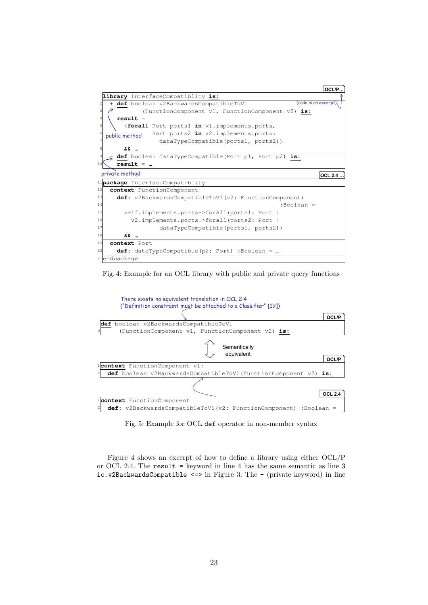





Fig. 5: Example for OCL def operator in non-member syntax

Figure 4 shows an excerpt of how to define a library using either OCL/P or OCL 2.4. The result = keyword in line 4 has the same semantic as line 3 ic.v2BackwardsCompatible  $\le$ > in Figure 3. The - (private keyword) in line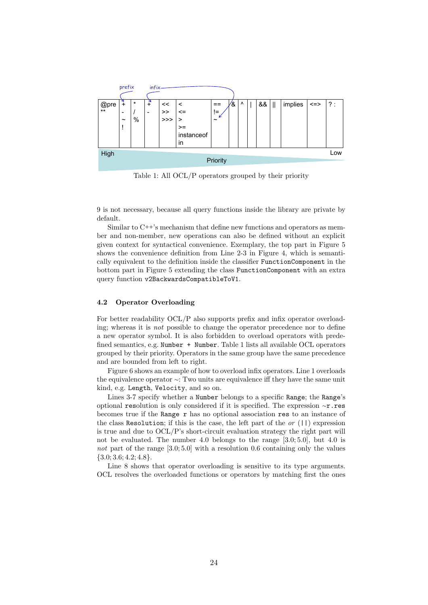

Table 1: All OCL/P operators grouped by their priority

9 is not necessary, because all query functions inside the library are private by default.

Similar to C++'s mechanism that define new functions and operators as member and non-member, new operations can also be defined without an explicit given context for syntactical convenience. Exemplary, the top part in Figure 5 shows the convenience definition from Line 2-3 in Figure 4, which is semantically equivalent to the definition inside the classifier FunctionComponent in the bottom part in Figure 5 extending the class FunctionComponent with an extra query function v2BackwardsCompatibleToV1.

## 4.2 Operator Overloading

For better readability OCL/P also supports prefix and infix operator overloading; whereas it is not possible to change the operator precedence nor to define a new operator symbol. It is also forbidden to overload operators with predefined semantics, e.g. Number + Number. Table 1 lists all available OCL operators grouped by their priority. Operators in the same group have the same precedence and are bounded from left to right.

Figure 6 shows an example of how to overload infix operators. Line 1 overloads the equivalence operator <sup>∼</sup>: Two units are equivalence iff they have the same unit kind, e.g. Length, Velocity, and so on.

Lines 3-7 specify whether a Number belongs to a specific Range; the Range's optional resolution is only considered if it is specified. The expression <sup>∼</sup>r.res becomes true if the Range r has no optional association res to an instance of the class Resolution; if this is the case, the left part of the or  $(| \, |)$  expression is true and due to OCL/P's short-circuit evaluation strategy the right part will not be evaluated. The number 4.0 belongs to the range [3.0; 5.0], but 4.0 is not part of the range  $[3.0; 5.0]$  with a resolution 0.6 containing only the values  ${3.0; 3.6; 4.2; 4.8}.$ 

Line 8 shows that operator overloading is sensitive to its type arguments. OCL resolves the overloaded functions or operators by matching first the ones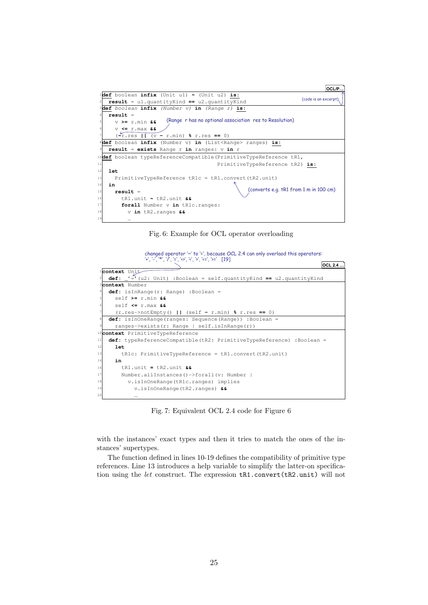

Fig. 6: Example for OCL operator overloading

changed operator '~' to '=', because OCL 2.4 can only overlaod this operators: '+', '-', '\*', '/', '=', '<>', '<', '>', '<=', '>=' [19]

|                                              | OCL 2.4                                                                        |  |  |  |
|----------------------------------------------|--------------------------------------------------------------------------------|--|--|--|
|                                              | lcontext Unit                                                                  |  |  |  |
|                                              | <b>def:</b> $I = I$ (u2: Unit) :Boolean = self.quantityKind == u2.quantityKind |  |  |  |
|                                              | <b>Bcontext</b> Number                                                         |  |  |  |
|                                              | $def:$ is In Range $(r:$ Range) : Boolean =                                    |  |  |  |
|                                              | self $>= r.min 66$                                                             |  |  |  |
|                                              | self $\leq$ r.max &&                                                           |  |  |  |
|                                              | $(rres\rightarrow notEmpty()     (self - r.min) % r,res == 0)$                 |  |  |  |
| 8 <sup>1</sup>                               | def: isInOneRange(ranges: Sequence(Range)) :Boolean =                          |  |  |  |
|                                              | $range$ =>exists( $r: Range \mid self.isInRange(r))$                           |  |  |  |
| <sup>10</sup> context PrimitiveTypeReference |                                                                                |  |  |  |
| 11                                           | def: typeReferenceCompatible(tR2: PrimitiveTypeReference) :Boolean =           |  |  |  |
| 12                                           | let.                                                                           |  |  |  |
| 13                                           | $tR1c: PrimitiveTypeReference = tR1. convert(tR2.unit)$                        |  |  |  |
| 14                                           | in                                                                             |  |  |  |
| 16                                           | $tR1$ .unit = $tR2$ .unit &&                                                   |  |  |  |
| 17                                           | Number.allInstances()->forall(v: Number                                        |  |  |  |
| 18                                           | v.isInOneRange(tR1c.ranges) implies                                            |  |  |  |
| 19                                           | $v.isInOneRange(tR2, ranges)$ 66                                               |  |  |  |
| 20                                           | $\cdots$                                                                       |  |  |  |

Fig. 7: Equivalent OCL 2.4 code for Figure 6

with the instances' exact types and then it tries to match the ones of the instances' supertypes.

The function defined in lines 10-19 defines the compatibility of primitive type references. Line 13 introduces a help variable to simplify the latter-on specification using the let construct. The expression  $tR1$ .convert( $tR2$ .unit) will not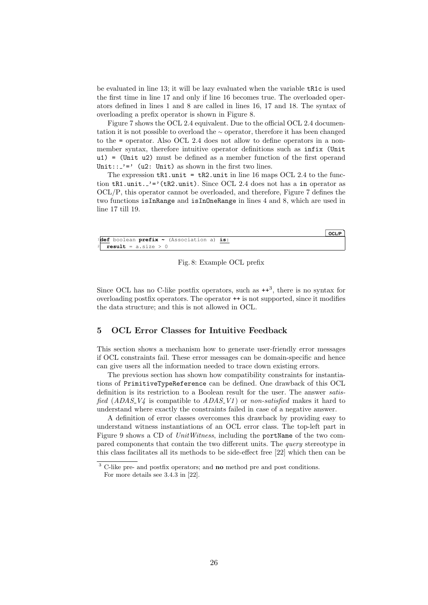be evaluated in line 13; it will be lazy evaluated when the variable tR1c is used the first time in line 17 and only if line 16 becomes true. The overloaded operators defined in lines 1 and 8 are called in lines 16, 17 and 18. The syntax of overloading a prefix operator is shown in Figure 8.

Figure 7 shows the OCL 2.4 equivalent. Due to the official OCL 2.4 documentation it is not possible to overload the <sup>∼</sup> operator, therefore it has been changed to the = operator. Also OCL 2.4 does not allow to define operators in a nonmember syntax, therefore intuitive operator definitions such as infix (Unit u1) = (Unit u2) must be defined as a member function of the first operand Unit:: $\frac{1}{2}$  (u2: Unit) as shown in the first two lines.

The expression  $tR1$  unit =  $tR2$  unit in line 16 maps OCL 2.4 to the function  $\texttt{tR1.unit.}$  '='( $\texttt{tR2.unit.}$ ). Since OCL 2.4 does not has a in operator as OCL/P, this operator cannot be overloaded, and therefore, Figure 7 defines the two functions isInRange and isInOneRange in lines 4 and 8, which are used in line 17 till 19.

|                                                   | OCL/P |
|---------------------------------------------------|-------|
| l <b>def</b> boolean prefix ~ (Association a) is: |       |
| $^2$ result = a.size > 0                          |       |

#### Fig. 8: Example OCL prefix

Since OCL has no C-like postfix operators, such as  $++^3$ , there is no syntax for overloading postfix operators. The operator ++ is not supported, since it modifies the data structure; and this is not allowed in OCL.

## 5 OCL Error Classes for Intuitive Feedback

This section shows a mechanism how to generate user-friendly error messages if OCL constraints fail. These error messages can be domain-specific and hence can give users all the information needed to trace down existing errors.

The previous section has shown how compatibility constraints for instantiations of PrimitiveTypeReference can be defined. One drawback of this OCL definition is its restriction to a Boolean result for the user. The answer satisfied  $(ADAS_V4)$  is compatible to  $ADAS_V1$  or non-satisfied makes it hard to understand where exactly the constraints failed in case of a negative answer.

A definition of error classes overcomes this drawback by providing easy to understand witness instantiations of an OCL error class. The top-left part in Figure 9 shows a CD of UnitWitness, including the portName of the two compared components that contain the two different units. The query stereotype in this class facilitates all its methods to be side-effect free [22] which then can be

<sup>&</sup>lt;sup>3</sup> C-like pre- and postfix operators; and **no** method pre and post conditions. For more details see 3.4.3 in [22].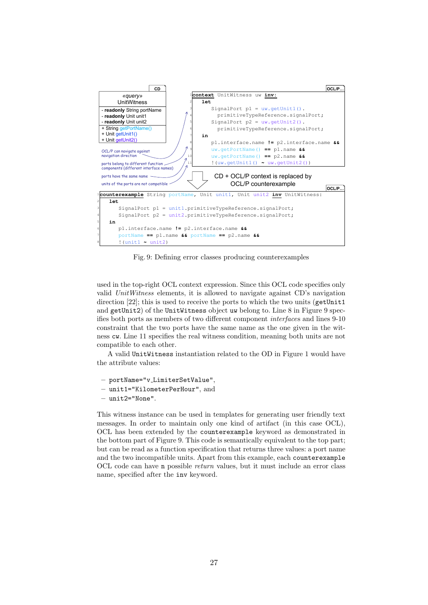

Fig. 9: Defining error classes producing counterexamples

used in the top-right OCL context expression. Since this OCL code specifies only valid UnitWitness elements, it is allowed to navigate against CD's navigation direction [22]; this is used to receive the ports to which the two units (getUnit1 and getUnit2) of the UnitWitness object uw belong to. Line 8 in Figure 9 specifies both ports as members of two different component interfaces and lines 9-10 constraint that the two ports have the same name as the one given in the witness cw. Line 11 specifies the real witness condition, meaning both units are not compatible to each other.

A valid UnitWitness instantiation related to the OD in Figure 1 would have the attribute values:

- portName="v LimiterSetValue",
- unit1="KilometerPerHour", and
- unit2="None".

This witness instance can be used in templates for generating user friendly text messages. In order to maintain only one kind of artifact (in this case OCL), OCL has been extended by the counterexample keyword as demonstrated in the bottom part of Figure 9. This code is semantically equivalent to the top part; but can be read as a function specification that returns three values: a port name and the two incompatible units. Apart from this example, each counterexample OCL code can have n possible return values, but it must include an error class name, specified after the inv keyword.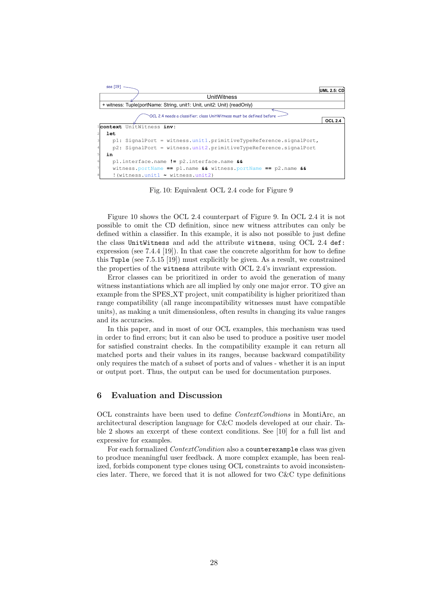

Fig. 10: Equivalent OCL 2.4 code for Figure 9

Figure 10 shows the OCL 2.4 counterpart of Figure 9. In OCL 2.4 it is not possible to omit the CD definition, since new witness attributes can only be defined within a classifier. In this example, it is also not possible to just define the class UnitWitness and add the attribute witness, using OCL 2.4 def: expression (see 7.4.4 [19]). In that case the concrete algorithm for how to define this Tuple (see 7.5.15 [19]) must explicitly be given. As a result, we constrained the properties of the witness attribute with OCL 2.4's invariant expression.

Error classes can be prioritized in order to avoid the generation of many witness instantiations which are all implied by only one major error. TO give an example from the SPES XT project, unit compatibility is higher prioritized than range compatibility (all range incompatibility witnesses must have compatible units), as making a unit dimensionless, often results in changing its value ranges and its accuracies.

In this paper, and in most of our OCL examples, this mechanism was used in order to find errors; but it can also be used to produce a positive user model for satisfied constraint checks. In the compatibility example it can return all matched ports and their values in its ranges, because backward compatibility only requires the match of a subset of ports and of values - whether it is an input or output port. Thus, the output can be used for documentation purposes.

## 6 Evaluation and Discussion

OCL constraints have been used to define ContextCondtions in MontiArc, an architectural description language for C&C models developed at our chair. Table 2 shows an excerpt of these context conditions. See [10] for a full list and expressive for examples.

For each formalized *ContextCondition* also a counterexample class was given to produce meaningful user feedback. A more complex example, has been realized, forbids component type clones using OCL constraints to avoid inconsistencies later. There, we forced that it is not allowed for two C&C type definitions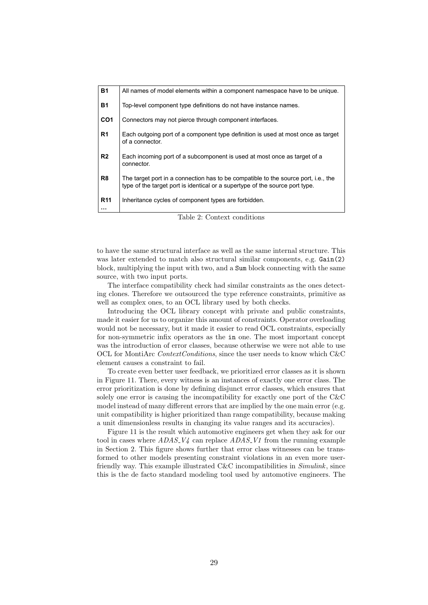| <b>B1</b>                         | Top-level component type definitions do not have instance names.                                                                                                   |
|-----------------------------------|--------------------------------------------------------------------------------------------------------------------------------------------------------------------|
| CO <sub>1</sub>                   | Connectors may not pierce through component interfaces.                                                                                                            |
| R <sub>1</sub><br>of a connector. | Each outgoing port of a component type definition is used at most once as target                                                                                   |
| R <sub>2</sub><br>connector.      | Each incoming port of a subcomponent is used at most once as target of a                                                                                           |
| R8                                | The target port in a connection has to be compatible to the source port, i.e., the<br>type of the target port is identical or a supertype of the source port type. |
| <b>R11</b>                        | Inheritance cycles of component types are forbidden.                                                                                                               |

Table 2: Context conditions

to have the same structural interface as well as the same internal structure. This was later extended to match also structural similar components, e.g. Gain(2) block, multiplying the input with two, and a Sum block connecting with the same source, with two input ports.

The interface compatibility check had similar constraints as the ones detecting clones. Therefore we outsourced the type reference constraints, primitive as well as complex ones, to an OCL library used by both checks.

Introducing the OCL library concept with private and public constraints, made it easier for us to organize this amount of constraints. Operator overloading would not be necessary, but it made it easier to read OCL constraints, especially for non-symmetric infix operators as the in one. The most important concept was the introduction of error classes, because otherwise we were not able to use OCL for MontiArc *ContextConditions*, since the user needs to know which  $C\&C$ element causes a constraint to fail.

To create even better user feedback, we prioritized error classes as it is shown in Figure 11. There, every witness is an instances of exactly one error class. The error prioritization is done by defining disjunct error classes, which ensures that solely one error is causing the incompatibility for exactly one port of the C&C model instead of many different errors that are implied by the one main error (e.g. unit compatibility is higher prioritized than range compatibility, because making a unit dimensionless results in changing its value ranges and its accuracies).

Figure 11 is the result which automotive engineers get when they ask for our tool in cases where  $ADAS_V4$  can replace  $ADAS_V1$  from the running example in Section 2. This figure shows further that error class witnesses can be transformed to other models presenting constraint violations in an even more userfriendly way. This example illustrated C&C incompatibilities in Simulink, since this is the de facto standard modeling tool used by automotive engineers. The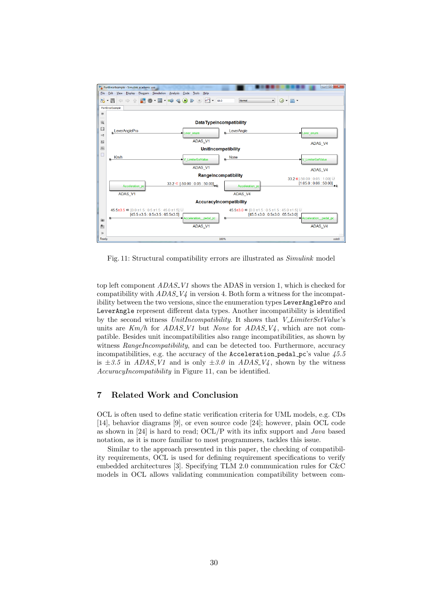

Fig. 11: Structural compatibility errors are illustrated as Simulink model

top left component  $ADAS_V1$  shows the ADAS in version 1, which is checked for compatibility with  $ADAS_V\psi$  in version 4. Both form a witness for the incompatibility between the two versions, since the enumeration types LeverAnglePro and LeverAngle represent different data types. Another incompatibility is identified by the second witness UnitIncompatibility. It shows that V\_LimiterSetValue's units are  $Km/h$  for  $ADAS_V1$  but None for  $ADAS_V4$ , which are not compatible. Besides unit incompatibilities also range incompatibilities, as shown by witness RangeIncompatibility, and can be detected too. Furthermore, accuracy incompatibilities, e.g. the accuracy of the Acceleration pedal pc's value  $45.5$ is  $\pm 3.5$  in ADAS V1 and is only  $\pm 3.0$  in ADAS V4, shown by the witness AccuracyIncompatibility in Figure 11, can be identified.

## 7 Related Work and Conclusion

OCL is often used to define static verification criteria for UML models, e.g. CDs [14], behavior diagrams [9], or even source code [24]; however, plain OCL code as shown in [24] is hard to read;  $OCL/P$  with its infix support and *Java* based notation, as it is more familiar to most programmers, tackles this issue.

Similar to the approach presented in this paper, the checking of compatibility requirements, OCL is used for defining requirement specifications to verify embedded architectures [3]. Specifying TLM 2.0 communication rules for C&C models in OCL allows validating communication compatibility between com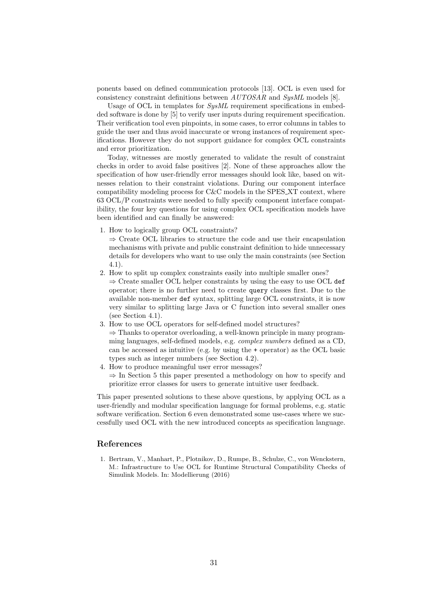ponents based on defined communication protocols [13]. OCL is even used for consistency constraint definitions between  $AUTOSAR$  and  $SysML$  models [8].

Usage of OCL in templates for SysML requirement specifications in embedded software is done by [5] to verify user inputs during requirement specification. Their verification tool even pinpoints, in some cases, to error columns in tables to guide the user and thus avoid inaccurate or wrong instances of requirement specifications. However they do not support guidance for complex OCL constraints and error prioritization.

Today, witnesses are mostly generated to validate the result of constraint checks in order to avoid false positives [2]. None of these approaches allow the specification of how user-friendly error messages should look like, based on witnesses relation to their constraint violations. During our component interface compatibility modeling process for C&C models in the SPES XT context, where 63 OCL/P constraints were needed to fully specify component interface compatibility, the four key questions for using complex OCL specification models have been identified and can finally be answered:

- 1. How to logically group OCL constraints?
	- ⇒ Create OCL libraries to structure the code and use their encapsulation mechanisms with private and public constraint definition to hide unnecessary details for developers who want to use only the main constraints (see Section 4.1).
- 2. How to split up complex constraints easily into multiple smaller ones?  $\Rightarrow$  Create smaller OCL helper constraints by using the easy to use OCL def operator; there is no further need to create query classes first. Due to the available non-member def syntax, splitting large OCL constraints, it is now very similar to splitting large Java or C function into several smaller ones (see Section 4.1).
- 3. How to use OCL operators for self-defined model structures?  $\Rightarrow$  Thanks to operator overloading, a well-known principle in many programming languages, self-defined models, e.g. complex numbers defined as a CD, can be accessed as intuitive (e.g. by using the + operator) as the OCL basic types such as integer numbers (see Section 4.2).
- 4. How to produce meaningful user error messages?  $\Rightarrow$  In Section 5 this paper presented a methodology on how to specify and prioritize error classes for users to generate intuitive user feedback.

This paper presented solutions to these above questions, by applying OCL as a user-friendly and modular specification language for formal problems, e.g. static software verification. Section 6 even demonstrated some use-cases where we successfully used OCL with the new introduced concepts as specification language.

# References

1. Bertram, V., Manhart, P., Plotnikov, D., Rumpe, B., Schulze, C., von Wenckstern, M.: Infrastructure to Use OCL for Runtime Structural Compatibility Checks of Simulink Models. In: Modellierung (2016)